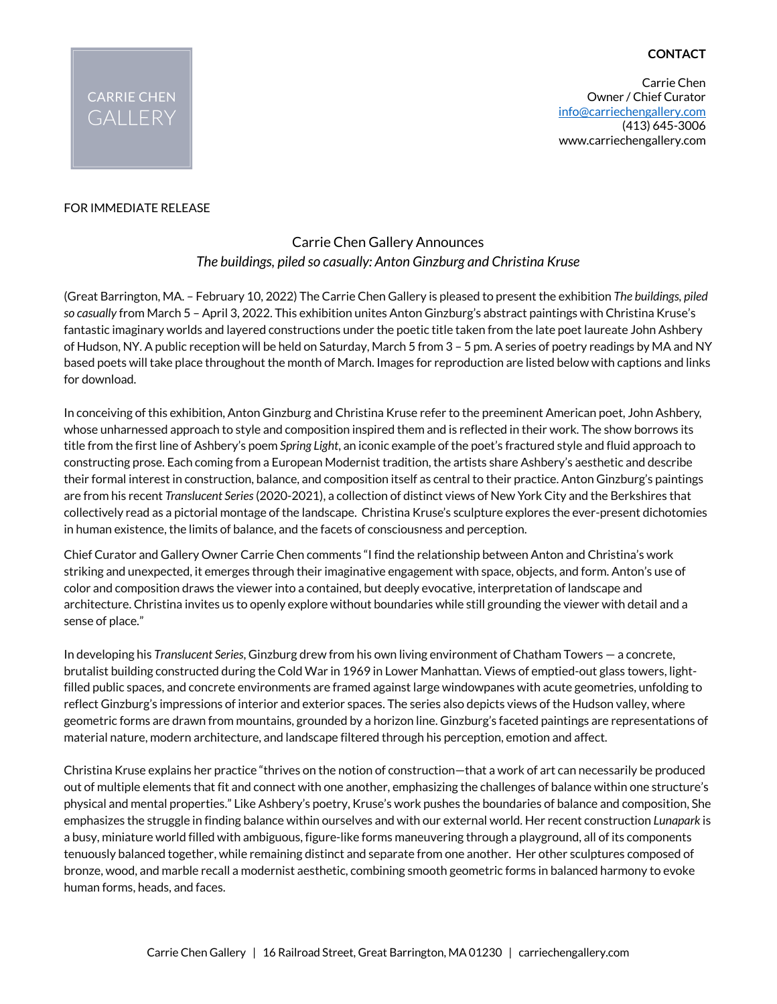## **CONTACT**

Carrie Chen Owner / Chief Curator info@carriechengallery.com (413) 645-3006 www.carriechengallery.com



### FOR IMMEDIATE RELEASE

# Carrie Chen Gallery Announces *The buildings, piled so casually: Anton Ginzburg and Christina Kruse*

(Great Barrington, MA. – February 10, 2022) The Carrie Chen Gallery is pleased to present the exhibition *The buildings, piled so casually* from March 5 – April 3, 2022. This exhibition unites Anton Ginzburg's abstract paintings with Christina Kruse's fantastic imaginary worlds and layered constructions under the poetic title taken from the late poet laureate John Ashbery of Hudson, NY. A public reception will be held on Saturday, March 5 from 3 – 5 pm. A series of poetry readings by MA and NY based poets will take place throughout the month of March. Images for reproduction are listed below with captions and links for download.

In conceiving of this exhibition, Anton Ginzburg and Christina Kruse refer to the preeminent American poet, John Ashbery, whose unharnessed approach to style and composition inspired them and is reflected in their work. The show borrows its title from the first line of Ashbery's poem *Spring Light*, an iconic example of the poet's fractured style and fluid approach to constructing prose. Each coming from a European Modernist tradition, the artists share Ashbery's aesthetic and describe their formal interest in construction, balance, and composition itself as central to their practice. Anton Ginzburg's paintings are from his recent *Translucent Series*(2020-2021), a collection of distinct views of New York City and the Berkshires that collectively read as a pictorial montage of the landscape. Christina Kruse's sculpture explores the ever-present dichotomies in human existence, the limits of balance, and the facets of consciousness and perception.

Chief Curator and Gallery Owner Carrie Chen comments "I find the relationship between Anton and Christina's work striking and unexpected, it emerges through their imaginative engagement with space, objects, and form. Anton's use of color and composition draws the viewer into a contained, but deeply evocative, interpretation of landscape and architecture. Christina invites us to openly explore without boundaries while still grounding the viewer with detail and a sense of place."

In developing his *Translucent Series*, Ginzburg drew from his own living environment of Chatham Towers — a concrete, brutalist building constructed during the Cold War in 1969 in Lower Manhattan. Views of emptied-out glass towers, lightfilled public spaces, and concrete environments are framed against large windowpanes with acute geometries, unfolding to reflect Ginzburg's impressions of interior and exterior spaces. The series also depicts views of the Hudson valley, where geometric forms are drawn from mountains, grounded by a horizon line. Ginzburg's faceted paintings are representations of material nature, modern architecture, and landscape filtered through his perception, emotion and affect.

Christina Kruse explains her practice "thrives on the notion of construction—that a work of art can necessarily be produced out of multiple elements that fit and connect with one another, emphasizing the challenges of balance within one structure's physical and mental properties." Like Ashbery's poetry, Kruse's work pushes the boundaries of balance and composition, She emphasizes the struggle in finding balance within ourselves and with our external world. Her recent construction *Lunapark* is a busy, miniature world filled with ambiguous, figure-like forms maneuvering through a playground, all of its components tenuously balanced together, while remaining distinct and separate from one another. Her other sculptures composed of bronze, wood, and marble recall a modernist aesthetic, combining smooth geometric forms in balanced harmony to evoke human forms, heads, and faces.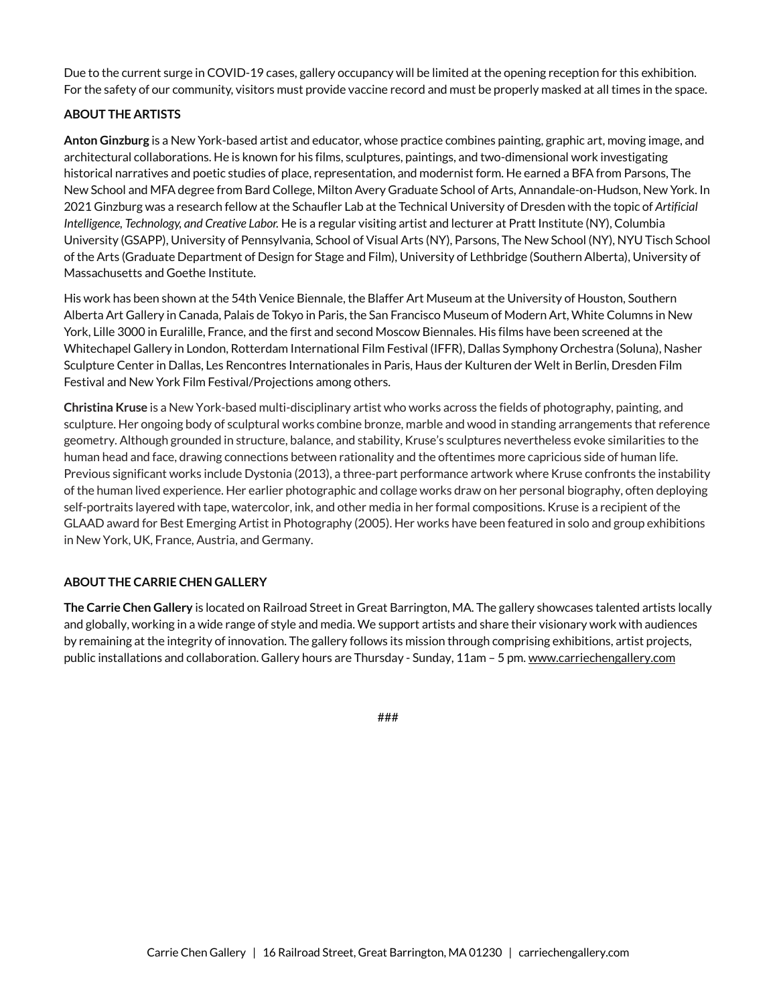Due to the current surge in COVID-19 cases, gallery occupancy will be limited at the opening reception for this exhibition. For the safety of our community, visitors must provide vaccine record and must be properly masked at all times in the space.

### **ABOUT THE ARTISTS**

**Anton Ginzburg** is a New York-based artist and educator, whose practice combines painting, graphic art, moving image, and architectural collaborations. He is known for his films, sculptures, paintings, and two-dimensional work investigating historical narratives and poetic studies of place, representation, and modernist form. He earned a BFA from Parsons, The New School and MFA degree from Bard College, Milton Avery Graduate School of Arts, Annandale-on-Hudson, New York. In 2021 Ginzburg was a research fellow at the Schaufler Lab at the Technical University of Dresden with the topic of *Artificial Intelligence, Technology, and Creative Labor.* He is a regular visiting artist and lecturer at Pratt Institute (NY), Columbia University (GSAPP), University of Pennsylvania, School of Visual Arts (NY), Parsons, The New School (NY), NYU Tisch School of the Arts (Graduate Department of Design for Stage and Film), University of Lethbridge (Southern Alberta), University of Massachusetts and Goethe Institute.

His work has been shown at the 54th Venice Biennale, the Blaffer Art Museum at the University of Houston, Southern Alberta Art Gallery in Canada, Palais de Tokyo in Paris, the San Francisco Museum of Modern Art, White Columns in New York, Lille 3000 in Euralille, France, and the first and second Moscow Biennales. His films have been screened at the Whitechapel Gallery in London, Rotterdam International Film Festival (IFFR), Dallas Symphony Orchestra (Soluna), Nasher Sculpture Center in Dallas, Les Rencontres Internationales in Paris, Haus der Kulturen der Welt in Berlin, Dresden Film Festival and New York Film Festival/Projections among others.

**Christina Kruse** is a New York-based multi-disciplinary artist who works across the fields of photography, painting, and sculpture. Her ongoing body of sculptural works combine bronze, marble and wood in standing arrangements that reference geometry. Although grounded in structure, balance, and stability, Kruse's sculptures nevertheless evoke similarities to the human head and face, drawing connections between rationality and the oftentimes more capricious side of human life. Previous significant works include Dystonia (2013), a three-part performance artwork where Kruse confronts the instability of the human lived experience. Her earlier photographic and collage works draw on her personal biography, often deploying self-portraits layered with tape, watercolor, ink, and other media in her formal compositions. Kruse is a recipient of the GLAAD award for Best Emerging Artist in Photography (2005). Her works have been featured in solo and group exhibitions in New York, UK, France, Austria, and Germany.

### **ABOUT THE CARRIE CHEN GALLERY**

**The Carrie Chen Gallery** is located on Railroad Street in Great Barrington, MA. The gallery showcases talented artists locally and globally, working in a wide range of style and media. We support artists and share their visionary work with audiences by remaining at the integrity of innovation. The gallery follows its mission through comprising exhibitions, artist projects, public installations and collaboration. Gallery hours are Thursday - Sunday, 11am – 5 pm. www.carriechengallery.com

###